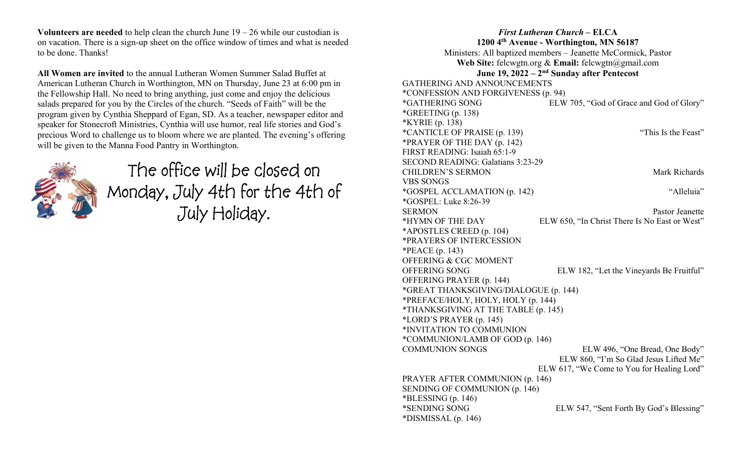Volunteers are needed to help clean the church June  $19 - 26$  while our custodian is on vacation. There is a sign-up sheet on the office window of times and what is needed to be done. Thanks!

All Women are invited to the annual Lutheran Women Summer Salad Buffet at American Lutheran Church in Worthington, MN on Thursday, June 23 at 6:00 pm in the Fellowship Hall. No need to bring anything, just come and enjoy the delicious salads prepared for you by the Circles of the church. "Seeds of Faith" will be the program given by Cynthia Sheppard of Egan, SD. As a teacher, newspaper editor and speaker for Stonecroft Ministries, Cynthia will use humor, real life stories and God's precious Word to challenge us to bloom where we are planted. The evening's offering will be given to the Manna Food Pantry in Worthington.



The office will be closed on Monday, July 4th for the 4th of July Holiday.

First Lutheran Church – ELCA 1200 4th Avenue - Worthington, MN 56187 Ministers: All baptized members – Jeanette McCormick, Pastor Web Site: felcwgtn.org & Email: felcwgtn@gmail.com June 19, 2022 – 2nd Sunday after Pentecost GATHERING AND ANNOUNCEMENTS \*CONFESSION AND FORGIVENESS (p. 94) \*GATHERING SONG ELW 705, "God of Grace and God of Glory"  $*GREFING(p. 138)$ \*KYRIE (p. 138) \*CANTICLE OF PRAISE (p. 139) "This Is the Feast" \*PRAYER OF THE DAY (p. 142) FIRST READING: Isaiah 65:1-9 SECOND READING: Galatians 3:23-29 CHILDREN'S SERMON Mark Richards VBS SONGS \*GOSPEL ACCLAMATION (p. 142) "Alleluia" \*GOSPEL: Luke 8:26-39 SERMON Pastor Jeanette \*HYMN OF THE DAY ELW 650, "In Christ There Is No East or West" \*APOSTLES CREED (p. 104) \*PRAYERS OF INTERCESSION \*PEACE (p. 143) OFFERING & CGC MOMENT OFFERING SONG ELW 182, "Let the Vineyards Be Fruitful" OFFERING PRAYER (p. 144) \*GREAT THANKSGIVING/DIALOGUE (p. 144) \*PREFACE/HOLY, HOLY, HOLY (p. 144) \*THANKSGIVING AT THE TABLE (p. 145) \*LORD'S PRAYER (p. 145) \*INVITATION TO COMMUNION \*COMMUNION/LAMB OF GOD (p. 146) COMMUNION SONGS ELW 496, "One Bread, One Body" ELW 860, "I'm So Glad Jesus Lifted Me" ELW 617, "We Come to You for Healing Lord" PRAYER AFTER COMMUNION (p. 146) SENDING OF COMMUNION (p. 146)  $*BLESSING (p. 146)$ \*SENDING SONG ELW 547, "Sent Forth By God's Blessing" \*DISMISSAL (p. 146)